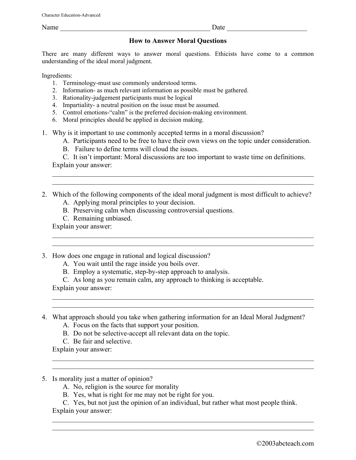Name \_\_\_\_\_\_\_\_\_\_\_\_\_\_\_\_\_\_\_\_\_\_\_\_\_\_\_\_\_\_\_\_\_\_\_\_\_\_\_\_\_\_\_ Date \_\_\_\_\_\_\_\_\_\_\_\_\_\_\_\_\_\_\_\_\_\_\_

## **How to Answer Moral Questions**

There are many different ways to answer moral questions. Ethicists have come to a common understanding of the ideal moral judgment.

Ingredients:

- 1. Terminology-must use commonly understood terms.
- 2. Information- as much relevant information as possible must be gathered.
- 3. Rationality-judgement participants must be logical
- 4. Impartiality- a neutral position on the issue must be assumed.
- 5. Control emotions-"calm" is the preferred decision-making environment.
- 6. Moral principles should be applied in decision making.
- 1. Why is it important to use commonly accepted terms in a moral discussion?
	- A. Participants need to be free to have their own views on the topic under consideration.
	- B. Failure to define terms will cloud the issues.

C. It isn't important: Moral discussions are too important to waste time on definitions. Explain your answer:

 $\mathcal{L}_\text{max} = \frac{1}{2} \sum_{i=1}^n \mathcal{L}_\text{max}(\mathbf{z}_i - \mathbf{z}_i)$  $\mathcal{L}_\mathcal{L} = \mathcal{L}_\mathcal{L} = \mathcal{L}_\mathcal{L} = \mathcal{L}_\mathcal{L} = \mathcal{L}_\mathcal{L} = \mathcal{L}_\mathcal{L} = \mathcal{L}_\mathcal{L} = \mathcal{L}_\mathcal{L} = \mathcal{L}_\mathcal{L} = \mathcal{L}_\mathcal{L} = \mathcal{L}_\mathcal{L} = \mathcal{L}_\mathcal{L} = \mathcal{L}_\mathcal{L} = \mathcal{L}_\mathcal{L} = \mathcal{L}_\mathcal{L} = \mathcal{L}_\mathcal{L} = \mathcal{L}_\mathcal{L}$ 

 $\mathcal{L}_\text{max} = \mathcal{L}_\text{max} = \mathcal{L}_\text{max} = \mathcal{L}_\text{max} = \mathcal{L}_\text{max} = \mathcal{L}_\text{max} = \mathcal{L}_\text{max} = \mathcal{L}_\text{max} = \mathcal{L}_\text{max} = \mathcal{L}_\text{max} = \mathcal{L}_\text{max} = \mathcal{L}_\text{max} = \mathcal{L}_\text{max} = \mathcal{L}_\text{max} = \mathcal{L}_\text{max} = \mathcal{L}_\text{max} = \mathcal{L}_\text{max} = \mathcal{L}_\text{max} = \mathcal{$ 

 $\mathcal{L}_\mathcal{L} = \{ \mathcal{L}_\mathcal{L} = \{ \mathcal{L}_\mathcal{L} = \{ \mathcal{L}_\mathcal{L} = \{ \mathcal{L}_\mathcal{L} = \{ \mathcal{L}_\mathcal{L} = \{ \mathcal{L}_\mathcal{L} = \{ \mathcal{L}_\mathcal{L} = \{ \mathcal{L}_\mathcal{L} = \{ \mathcal{L}_\mathcal{L} = \{ \mathcal{L}_\mathcal{L} = \{ \mathcal{L}_\mathcal{L} = \{ \mathcal{L}_\mathcal{L} = \{ \mathcal{L}_\mathcal{L} = \{ \mathcal{L}_\mathcal{$  $\mathcal{L}_\text{max} = \mathcal{L}_\text{max} = \mathcal{L}_\text{max} = \mathcal{L}_\text{max} = \mathcal{L}_\text{max} = \mathcal{L}_\text{max} = \mathcal{L}_\text{max} = \mathcal{L}_\text{max} = \mathcal{L}_\text{max} = \mathcal{L}_\text{max} = \mathcal{L}_\text{max} = \mathcal{L}_\text{max} = \mathcal{L}_\text{max} = \mathcal{L}_\text{max} = \mathcal{L}_\text{max} = \mathcal{L}_\text{max} = \mathcal{L}_\text{max} = \mathcal{L}_\text{max} = \mathcal{$ 

 $\mathcal{L}_\mathcal{L} = \{ \mathcal{L}_\mathcal{L} = \{ \mathcal{L}_\mathcal{L} = \{ \mathcal{L}_\mathcal{L} = \{ \mathcal{L}_\mathcal{L} = \{ \mathcal{L}_\mathcal{L} = \{ \mathcal{L}_\mathcal{L} = \{ \mathcal{L}_\mathcal{L} = \{ \mathcal{L}_\mathcal{L} = \{ \mathcal{L}_\mathcal{L} = \{ \mathcal{L}_\mathcal{L} = \{ \mathcal{L}_\mathcal{L} = \{ \mathcal{L}_\mathcal{L} = \{ \mathcal{L}_\mathcal{L} = \{ \mathcal{L}_\mathcal{$  $\mathcal{L}_\text{max} = \mathcal{L}_\text{max} = \mathcal{L}_\text{max} = \mathcal{L}_\text{max} = \mathcal{L}_\text{max} = \mathcal{L}_\text{max} = \mathcal{L}_\text{max} = \mathcal{L}_\text{max} = \mathcal{L}_\text{max} = \mathcal{L}_\text{max} = \mathcal{L}_\text{max} = \mathcal{L}_\text{max} = \mathcal{L}_\text{max} = \mathcal{L}_\text{max} = \mathcal{L}_\text{max} = \mathcal{L}_\text{max} = \mathcal{L}_\text{max} = \mathcal{L}_\text{max} = \mathcal{$ 

- 2. Which of the following components of the ideal moral judgment is most difficult to achieve? A. Applying moral principles to your decision.
	- B. Preserving calm when discussing controversial questions.
	-

C. Remaining unbiased.

Explain your answer:  $\mathcal{L}_\text{max} = \frac{1}{2} \sum_{i=1}^n \mathcal{L}_\text{max}(\mathbf{z}_i - \mathbf{z}_i)$ 

- 3. How does one engage in rational and logical discussion?
	- A. You wait until the rage inside you boils over.
	- B. Employ a systematic, step-by-step approach to analysis.

C. As long as you remain calm, any approach to thinking is acceptable.

Explain your answer:

- 4. What approach should you take when gathering information for an Ideal Moral Judgment?
	- A. Focus on the facts that support your position.
	- B. Do not be selective-accept all relevant data on the topic.
	- C. Be fair and selective.

Explain your answer:

- 5. Is morality just a matter of opinion?
	- A. No, religion is the source for morality
	- B. Yes, what is right for me may not be right for you.

C. Yes, but not just the opinion of an individual, but rather what most people think. Explain your answer:

 $\mathcal{L}_\mathcal{L} = \{ \mathcal{L}_\mathcal{L} = \{ \mathcal{L}_\mathcal{L} = \{ \mathcal{L}_\mathcal{L} = \{ \mathcal{L}_\mathcal{L} = \{ \mathcal{L}_\mathcal{L} = \{ \mathcal{L}_\mathcal{L} = \{ \mathcal{L}_\mathcal{L} = \{ \mathcal{L}_\mathcal{L} = \{ \mathcal{L}_\mathcal{L} = \{ \mathcal{L}_\mathcal{L} = \{ \mathcal{L}_\mathcal{L} = \{ \mathcal{L}_\mathcal{L} = \{ \mathcal{L}_\mathcal{L} = \{ \mathcal{L}_\mathcal{$  $\mathcal{L}_\mathcal{L} = \mathcal{L}_\mathcal{L} = \mathcal{L}_\mathcal{L} = \mathcal{L}_\mathcal{L} = \mathcal{L}_\mathcal{L} = \mathcal{L}_\mathcal{L} = \mathcal{L}_\mathcal{L} = \mathcal{L}_\mathcal{L} = \mathcal{L}_\mathcal{L} = \mathcal{L}_\mathcal{L} = \mathcal{L}_\mathcal{L} = \mathcal{L}_\mathcal{L} = \mathcal{L}_\mathcal{L} = \mathcal{L}_\mathcal{L} = \mathcal{L}_\mathcal{L} = \mathcal{L}_\mathcal{L} = \mathcal{L}_\mathcal{L}$